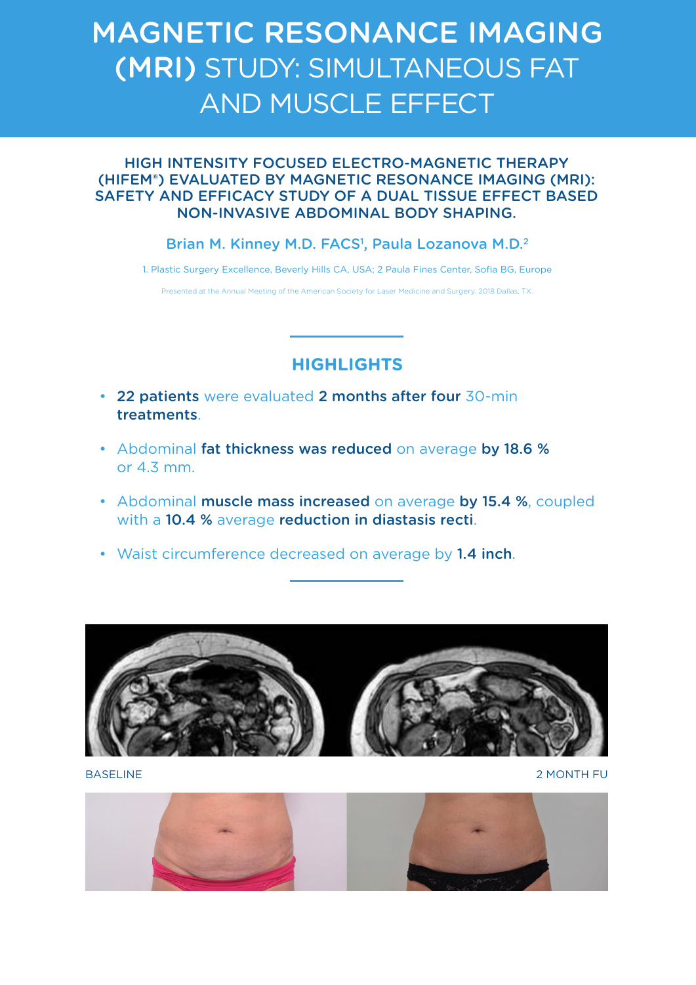# MAGNETIC RESONANCE IMAGING (MRI) STUDY: SIMULTANEOUS FAT AND MUSCLE EFFECT

#### HIGH INTENSITY FOCUSED ELECTRO-MAGNETIC THERAPY (HIFEM®) EVALUATED BY MAGNETIC RESONANCE IMAGING (MRI): SAFETY AND EFFICACY STUDY OF A DUAL TISSUE EFFECT BASED NON-INVASIVE ABDOMINAL BODY SHAPING.

#### Brian M. Kinney M.D. FACS<sup>1</sup>, Paula Lozanova M.D.<sup>2</sup>

1. Plastic Surgery Excellence, Beverly Hills CA, USA; 2 Paula Fines Center, Sofia BG, Europe

Presented at the Annual Meeting of the American Society for Laser Medicine and Surgery, 2018 Dallas, TX.

## **HIGHLIGHTS**

- 22 patients were evaluated 2 months after four 30-min treatments.
- Abdominal fat thickness was reduced on average by 18.6 % or 4.3 mm.
- Abdominal muscle mass increased on average by 15.4 %, coupled with a 10.4 % average reduction in diastasis recti.
- Waist circumference decreased on average by 1.4 inch.



BASELINE 2 MONTH FU